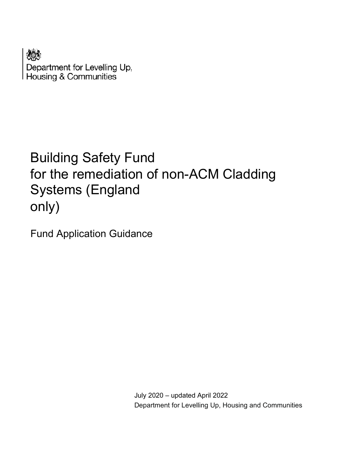Department for Levelling Up, **Housing & Communities** 

# Building Safety Fund for the remediation of non-ACM Cladding Systems (England only)

Fund Application Guidance

 July 2020 – updated April 2022 Department for Levelling Up, Housing and Communities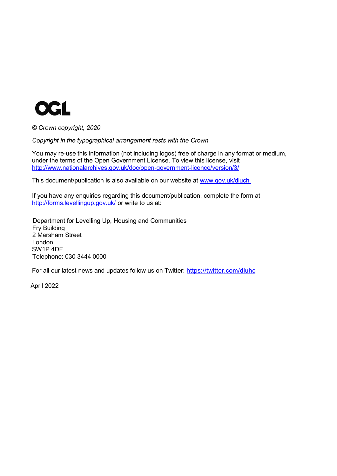

*© Crown copyright, 2020*

*Copyright in the typographical arrangement rests with the Crown.*

You may re-use this information (not including logos) free of charge in any format or medium, under the terms of the Open Government License. To view this license, visit <http://www.nationalarchives.gov.uk/doc/open-government-licence/version/3/>

This document/publication is also available on our website at www.gov.uk/dluch

If you have any enquiries regarding this document/publication, complete the form at <http://forms.levellingup.gov.uk/> or write to us at:

 Department for Levelling Up, Housing and Communities Fry Building 2 Marsham Street London SW1P 4DF Telephone: 030 3444 0000

For all our latest news and updates follow us on Twitter:<https://twitter.com/dluhc>

April 2022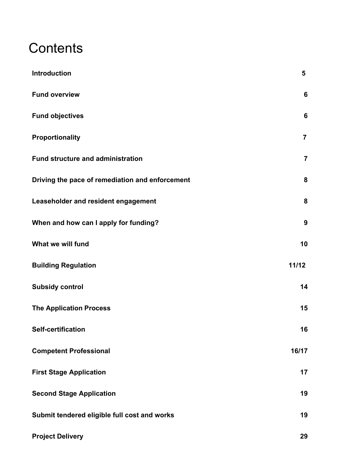# **Contents**

| <b>Introduction</b>                             | 5                |
|-------------------------------------------------|------------------|
| <b>Fund overview</b>                            | $6\phantom{1}6$  |
| <b>Fund objectives</b>                          | $6\phantom{1}6$  |
| Proportionality                                 | $\overline{7}$   |
| <b>Fund structure and administration</b>        | $\overline{7}$   |
| Driving the pace of remediation and enforcement | 8                |
| Leaseholder and resident engagement             | 8                |
| When and how can I apply for funding?           | $\boldsymbol{9}$ |
| What we will fund                               | 10               |
| <b>Building Regulation</b>                      | 11/12            |
| <b>Subsidy control</b>                          | 14               |
| <b>The Application Process</b>                  | 15               |
| <b>Self-certification</b>                       | 16               |
| <b>Competent Professional</b>                   | 16/17            |
| <b>First Stage Application</b>                  | 17               |
| <b>Second Stage Application</b>                 | 19               |
| Submit tendered eligible full cost and works    | 19               |
| <b>Project Delivery</b>                         | 29               |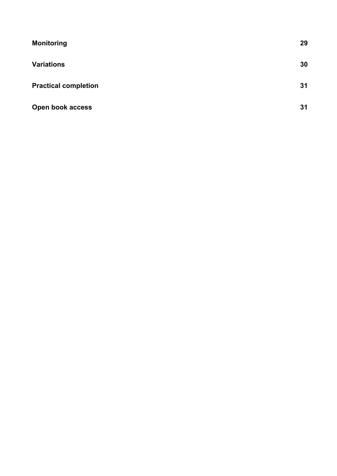| <b>Monitoring</b>           | 29 |
|-----------------------------|----|
| <b>Variations</b>           | 30 |
| <b>Practical completion</b> | 31 |
| Open book access            | 31 |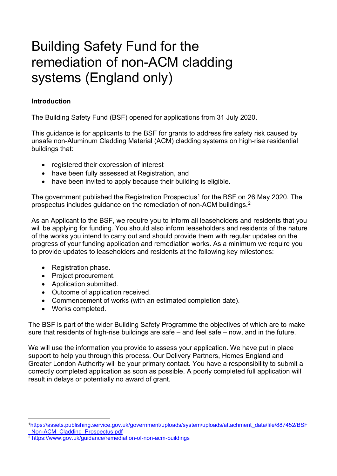# Building Safety Fund for the remediation of non-ACM cladding systems (England only)

## <span id="page-4-0"></span>**Introduction**

The Building Safety Fund (BSF) opened for applications from 31 July 2020.

This guidance is for applicants to the BSF for grants to address fire safety risk caused by unsafe non-Aluminum Cladding Material (ACM) cladding systems on high-rise residential buildings that:

- registered their expression of interest
- have been fully assessed at Registration, and
- have been invited to apply because their building is eligible.

The government published the Registration Prospectus<sup>[1](#page-4-1)</sup> for the BSF on 26 May 2020. The prospectus includes guidance on the remediation of non-ACM buildings. $^{\rm 2}$  $^{\rm 2}$  $^{\rm 2}$ 

As an Applicant to the BSF, we require you to inform all leaseholders and residents that you will be applying for funding. You should also inform leaseholders and residents of the nature of the works you intend to carry out and should provide them with regular updates on the progress of your funding application and remediation works. As a minimum we require you to provide updates to leaseholders and residents at the following key milestones:

- Registration phase.
- Project procurement.
- Application submitted.
- Outcome of application received.
- Commencement of works (with an estimated completion date).
- Works completed.

The BSF is part of the wider Building Safety Programme the objectives of which are to make sure that residents of high-rise buildings are safe – and feel safe – now, and in the future.

We will use the information you provide to assess your application. We have put in place support to help you through this process. Our Delivery Partners, Homes England and Greater London Authority will be your primary contact. You have a responsibility to submit a correctly completed application as soon as possible. A poorly completed full application will result in delays or potentially no award of grant.

<span id="page-4-1"></span>[<sup>1</sup>https://assets.publishing.service.gov.uk/government/uploads/system/uploads/attachment\\_data/file/887452/BSF](https://assets.publishing.service.gov.uk/government/uploads/system/uploads/attachment_data/file/887452/BSF_Non-ACM_Cladding_Prospectus.pdf) Non-ACM\_Cladding\_Prospectus.pdf

<span id="page-4-2"></span><sup>2</sup> <https://www.gov.uk/guidance/remediation-of-non-acm-buildings>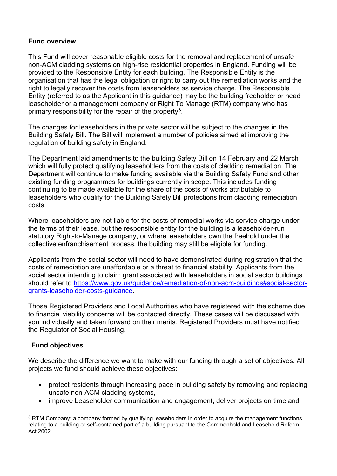## <span id="page-5-0"></span>**Fund overview**

This Fund will cover reasonable eligible costs for the removal and replacement of unsafe non-ACM cladding systems on high-rise residential properties in England. Funding will be provided to the Responsible Entity for each building. The Responsible Entity is the organisation that has the legal obligation or right to carry out the remediation works and the right to legally recover the costs from leaseholders as service charge. The Responsible Entity (referred to as the Applicant in this guidance) may be the building freeholder or head leaseholder or a management company or Right To Manage (RTM) company who has primary responsibility for the repair of the property<sup>3</sup>.

The changes for leaseholders in the private sector will be subject to the changes in the Building Safety Bill. The Bill will implement a number of policies aimed at improving the regulation of building safety in England.

The Department laid amendments to the building Safety Bill on 14 February and 22 March which will fully protect qualifying leaseholders from the costs of cladding remediation. The Department will continue to make funding available via the Building Safety Fund and other existing funding programmes for buildings currently in scope. This includes funding continuing to be made available for the share of the costs of works attributable to leaseholders who qualify for the Building Safety Bill protections from cladding remediation costs.

Where leaseholders are not liable for the costs of remedial works via service charge under the terms of their lease, but the responsible entity for the building is a leaseholder-run statutory Right-to-Manage company, or where leaseholders own the freehold under the collective enfranchisement process, the building may still be eligible for funding.

Applicants from the social sector will need to have demonstrated during registration that the costs of remediation are unaffordable or a threat to financial stability. Applicants from the social sector intending to claim grant associated with leaseholders in social sector buildings should refer to [https://www.gov.uk/guidance/remediation-of-non-acm-buildings#social-sector](https://www.gov.uk/guidance/remediation-of-non-acm-buildings#social-sector-grants-leaseholder-costs-guidance)[grants-leaseholder-costs-guidance.](https://www.gov.uk/guidance/remediation-of-non-acm-buildings#social-sector-grants-leaseholder-costs-guidance)

Those Registered Providers and Local Authorities who have registered with the scheme due to financial viability concerns will be contacted directly. These cases will be discussed with you individually and taken forward on their merits. Registered Providers must have notified the Regulator of Social Housing.

### <span id="page-5-1"></span>**Fund objectives**

We describe the difference we want to make with our funding through a set of objectives. All projects we fund should achieve these objectives:

- protect residents through increasing pace in building safety by removing and replacing unsafe non-ACM cladding systems,
- improve Leaseholder communication and engagement, deliver projects on time and

<span id="page-5-2"></span><sup>&</sup>lt;sup>3</sup> RTM Company: a company formed by qualifying leaseholders in order to acquire the management functions relating to a building or self-contained part of a building pursuant to the Commonhold and Leasehold Reform Act 2002.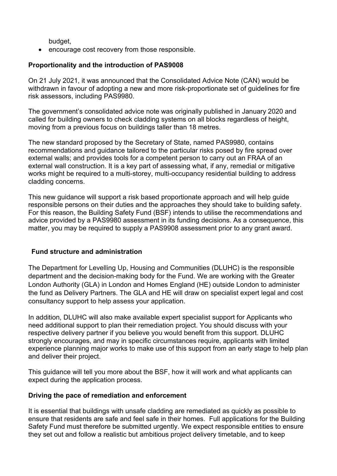budget,

• encourage cost recovery from those responsible.

### **Proportionality and the introduction of PAS9008**

On 21 July 2021, it was announced that the Consolidated Advice Note (CAN) would be withdrawn in favour of adopting a new and more risk-proportionate set of guidelines for fire risk assessors, including PAS9980.

The government's consolidated advice note was originally published in January 2020 and called for building owners to check cladding systems on all blocks regardless of height, moving from a previous focus on buildings taller than 18 metres.

The new standard proposed by the Secretary of State, named PAS9980, contains recommendations and guidance tailored to the particular risks posed by fire spread over external walls; and provides tools for a competent person to carry out an FRAA of an external wall construction. It is a key part of assessing what, if any, remedial or mitigative works might be required to a multi-storey, multi-occupancy residential building to address cladding concerns.

This new guidance will support a risk based proportionate approach and will help guide responsible persons on their duties and the approaches they should take to building safety. For this reason, the Building Safety Fund (BSF) intends to utilise the recommendations and advice provided by a PAS9980 assessment in its funding decisions. As a consequence, this matter, you may be required to supply a PAS9908 assessment prior to any grant award.

### <span id="page-6-0"></span>**Fund structure and administration**

The Department for Levelling Up, Housing and Communities (DLUHC) is the responsible department and the decision-making body for the Fund. We are working with the Greater London Authority (GLA) in London and Homes England (HE) outside London to administer the fund as Delivery Partners. The GLA and HE will draw on specialist expert legal and cost consultancy support to help assess your application.

In addition, DLUHC will also make available expert specialist support for Applicants who need additional support to plan their remediation project. You should discuss with your respective delivery partner if you believe you would benefit from this support. DLUHC strongly encourages, and may in specific circumstances require, applicants with limited experience planning major works to make use of this support from an early stage to help plan and deliver their project.

This guidance will tell you more about the BSF, how it will work and what applicants can expect during the application process.

#### <span id="page-6-1"></span>**Driving the pace of remediation and enforcement**

It is essential that buildings with unsafe cladding are remediated as quickly as possible to ensure that residents are safe and feel safe in their homes. Full applications for the Building Safety Fund must therefore be submitted urgently. We expect responsible entities to ensure they set out and follow a realistic but ambitious project delivery timetable, and to keep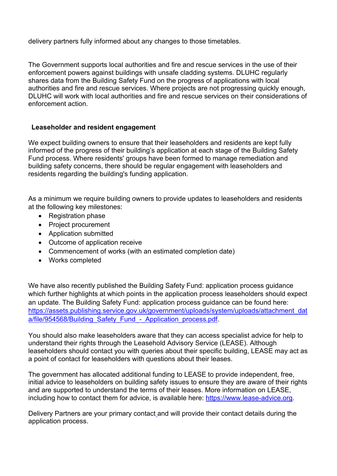delivery partners fully informed about any changes to those timetables.

The Government supports local authorities and fire and rescue services in the use of their enforcement powers against buildings with unsafe cladding systems. DLUHC regularly shares data from the Building Safety Fund on the progress of applications with local authorities and fire and rescue services. Where projects are not progressing quickly enough, DLUHC will work with local authorities and fire and rescue services on their considerations of enforcement action.

#### <span id="page-7-0"></span>**Leaseholder and resident engagement**

We expect building owners to ensure that their leaseholders and residents are kept fully informed of the progress of their building's application at each stage of the Building Safety Fund process. Where residents' groups have been formed to manage remediation and building safety concerns, there should be regular engagement with leaseholders and residents regarding the building's funding application.

As a minimum we require building owners to provide updates to leaseholders and residents at the following key milestones:

- Registration phase
- Project procurement
- Application submitted
- Outcome of application receive
- Commencement of works (with an estimated completion date)
- Works completed

We have also recently published the Building Safety Fund: application process guidance which further highlights at which points in the application process leaseholders should expect an update. The Building Safety Fund: application process guidance can be found here: [https://assets.publishing.service.gov.uk/government/uploads/system/uploads/attachment\\_dat](https://assets.publishing.service.gov.uk/government/uploads/system/uploads/attachment_data/file/954568/Building_Safety_Fund_-_Application_process.pdf) a/file/954568/Building\_Safety\_Fund - Application\_process.pdf.

You should also make leaseholders aware that they can access specialist advice for help to understand their rights through the Leasehold Advisory Service (LEASE). Although leaseholders should contact you with queries about their specific building, LEASE may act as a point of contact for leaseholders with questions about their leases.

The government has allocated additional funding to LEASE to provide independent, free, initial advice to leaseholders on building safety issues to ensure they are aware of their rights and are supported to understand the terms of their leases. More information on LEASE, including how to contact them for advice, is available here: [https://www.lease-advice.org.](https://www.lease-advice.org/)

Delivery Partners are your primary contact and will provide their contact details during the application process.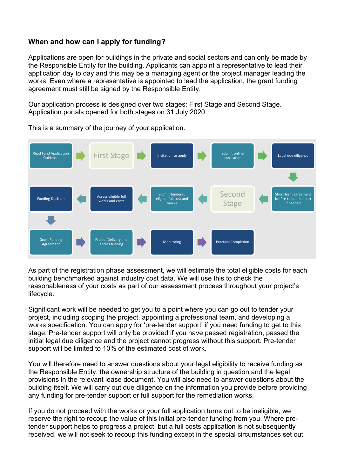# <span id="page-8-0"></span>**When and how can I apply for funding?**

Applications are open for buildings in the private and social sectors and can only be made by the Responsible Entity for the building. Applicants can appoint a representative to lead their application day to day and this may be a managing agent or the project manager leading the works. Even where a representative is appointed to lead the application, the grant funding agreement must still be signed by the Responsible Entity.

Our application process is designed over two stages: First Stage and Second Stage. Application portals opened for both stages on 31 July 2020.



This is a summary of the journey of your application.

As part of the registration phase assessment, we will estimate the total eligible costs for each building benchmarked against industry cost data. We will use this to check the reasonableness of your costs as part of our assessment process throughout your project's lifecycle.

Significant work will be needed to get you to a point where you can go out to tender your project, including scoping the project, appointing a professional team, and developing a works specification. You can apply for 'pre-tender support' if you need funding to get to this stage. Pre-tender support will only be provided if you have passed registration, passed the initial legal due diligence and the project cannot progress without this support. Pre-tender support will be limited to 10% of the estimated cost of work.

You will therefore need to answer questions about your legal eligibility to receive funding as the Responsible Entity, the ownership structure of the building in question and the legal provisions in the relevant lease document. You will also need to answer questions about the building itself. We will carry out due diligence on the information you provide before providing any funding for pre-tender support or full support for the remediation works.

If you do not proceed with the works or your full application turns out to be ineligible, we reserve the right to recoup the value of this initial pre-tender funding from you. Where pretender support helps to progress a project, but a full costs application is not subsequently received, we will not seek to recoup this funding except in the special circumstances set out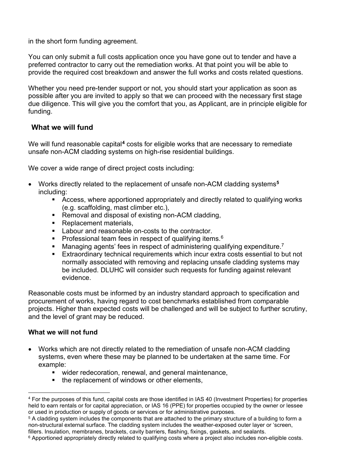in the short form funding agreement.

You can only submit a full costs application once you have gone out to tender and have a preferred contractor to carry out the remediation works. At that point you will be able to provide the required cost breakdown and answer the full works and costs related questions.

Whether you need pre-tender support or not, you should start your application as soon as possible after you are invited to apply so that we can proceed with the necessary first stage due diligence. This will give you the comfort that you, as Applicant, are in principle eligible for funding.

## <span id="page-9-0"></span>**What we will fund**

We will fund reasonable capital**[4](#page-9-1)** costs for eligible works that are necessary to remediate unsafe non-ACM cladding systems on high-rise residential buildings.

We cover a wide range of direct project costs including:

- Works directly related to the replacement of unsafe non-ACM cladding systems**[5](#page-9-2)** including:
	- Access, where apportioned appropriately and directly related to qualifying works (e.g. scaffolding, mast climber etc.),
	- Removal and disposal of existing non-ACM cladding,
	- Replacement materials,
	- **Labour and reasonable on-costs to the contractor.**
	- Professional team fees in respect of qualifying items.<sup>6</sup>
	- $\blacksquare$  Managing agents' fees in respect of administering qualifying expenditure.<sup>7</sup>
	- Extraordinary technical requirements which incur extra costs essential to but not normally associated with removing and replacing unsafe cladding systems may be included. DLUHC will consider such requests for funding against relevant evidence.

Reasonable costs must be informed by an industry standard approach to specification and procurement of works, having regard to cost benchmarks established from comparable projects. Higher than expected costs will be challenged and will be subject to further scrutiny, and the level of grant may be reduced.

### **What we will not fund**

- Works which are not directly related to the remediation of unsafe non-ACM cladding systems, even where these may be planned to be undertaken at the same time. For example:
	- wider redecoration, renewal, and general maintenance,
	- the replacement of windows or other elements,

<span id="page-9-1"></span><sup>4</sup> For the purposes of this fund, capital costs are those identified in IAS 40 (Investment Properties) for properties held to earn rentals or for capital appreciation, or IAS 16 (PPE) for properties occupied by the owner or lessee or used in production or supply of goods or services or for administrative purposes.

<span id="page-9-2"></span><sup>5</sup> A cladding system includes the components that are attached to the primary structure of a building to form a non-structural external surface. The cladding system includes the weather-exposed outer layer or 'screen, fillers. Insulation, membranes, brackets, cavity barriers, flashing, fixings, gaskets, and sealants.

<span id="page-9-3"></span><sup>&</sup>lt;sup>6</sup> Apportioned appropriately directly related to qualifying costs where a project also includes non-eligible costs.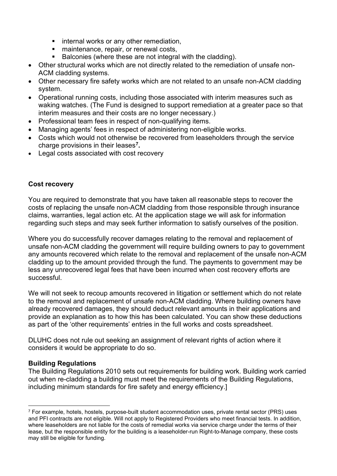- **EXEDENT INTERS** or any other remediation,
- maintenance, repair, or renewal costs,
- Balconies (where these are not integral with the cladding).
- Other structural works which are not directly related to the remediation of unsafe non-ACM cladding systems.
- Other necessary fire safety works which are not related to an unsafe non-ACM cladding system.
- Operational running costs, including those associated with interim measures such as waking watches. (The Fund is designed to support remediation at a greater pace so that interim measures and their costs are no longer necessary.)
- Professional team fees in respect of non-qualifying items.
- Managing agents' fees in respect of administering non-eligible works.
- Costs which would not otherwise be recovered from leaseholders through the service charge provisions in their leases**[7](#page-10-0).**
- Legal costs associated with cost recovery

### **Cost recovery**

You are required to demonstrate that you have taken all reasonable steps to recover the costs of replacing the unsafe non-ACM cladding from those responsible through insurance claims, warranties, legal action etc. At the application stage we will ask for information regarding such steps and may seek further information to satisfy ourselves of the position.

Where you do successfully recover damages relating to the removal and replacement of unsafe non-ACM cladding the government will require building owners to pay to government any amounts recovered which relate to the removal and replacement of the unsafe non-ACM cladding up to the amount provided through the fund. The payments to government may be less any unrecovered legal fees that have been incurred when cost recovery efforts are successful.

We will not seek to recoup amounts recovered in litigation or settlement which do not relate to the removal and replacement of unsafe non-ACM cladding. Where building owners have already recovered damages, they should deduct relevant amounts in their applications and provide an explanation as to how this has been calculated. You can show these deductions as part of the 'other requirements' entries in the full works and costs spreadsheet.

DLUHC does not rule out seeking an assignment of relevant rights of action where it considers it would be appropriate to do so.

### **Building Regulations**

The Building Regulations 2010 sets out requirements for building work. Building work carried out when re-cladding a building must meet the requirements of the Building Regulations, including minimum standards for fire safety and energy efficiency.]

<span id="page-10-0"></span> $7$  For example, hotels, hostels, purpose-built student accommodation uses, private rental sector (PRS) uses and PFI contracts are not eligible. Will not apply to Registered Providers who meet financial tests. In addition, where leaseholders are not liable for the costs of remedial works via service charge under the terms of their lease, but the responsible entity for the building is a leaseholder-run Right-to-Manage company, these costs may still be eligible for funding.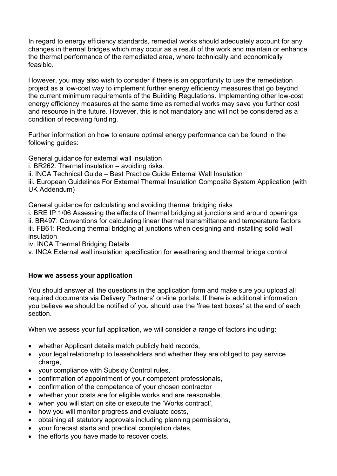In regard to energy efficiency standards, remedial works should adequately account for any changes in thermal bridges which may occur as a result of the work and maintain or enhance the thermal performance of the remediated area, where technically and economically feasible.

However, you may also wish to consider if there is an opportunity to use the remediation project as a low-cost way to implement further energy efficiency measures that go beyond the current minimum requirements of the Building Regulations. Implementing other low-cost energy efficiency measures at the same time as remedial works may save you further cost and resource in the future. However, this is not mandatory and will not be considered as a condition of receiving funding.

Further information on how to ensure optimal energy performance can be found in the following guides:

General guidance for external wall insulation

i. BR262: Thermal insulation – avoiding risks.

ii. INCA Technical Guide – Best Practice Guide External Wall Insulation

iii. European Guidelines For External Thermal Insulation Composite System Application (with UK Addendum)

General guidance for calculating and avoiding thermal bridging risks

i. BRE IP 1/06 Assessing the effects of thermal bridging at junctions and around openings ii. BR497: Conventions for calculating linear thermal transmittance and temperature factors iii. FB61: Reducing thermal bridging at junctions when designing and installing solid wall insulation

iv. INCA Thermal Bridging Details

v. INCA External wall insulation specification for weathering and thermal bridge control

#### **How we assess your application**

You should answer all the questions in the application form and make sure you upload all required documents via Delivery Partners' on-line portals. If there is additional information you believe we should be notified of you should use the 'free text boxes' at the end of each section.

When we assess your full application, we will consider a range of factors including:

- whether Applicant details match publicly held records,
- your legal relationship to leaseholders and whether they are obliged to pay service charge,
- your compliance with Subsidy Control rules,
- confirmation of appointment of your competent professionals,
- confirmation of the competence of your chosen contractor
- whether your costs are for eligible works and are reasonable,
- when you will start on site or execute the 'Works contract',
- how you will monitor progress and evaluate costs,
- obtaining all statutory approvals including planning permissions,
- your forecast starts and practical completion dates,
- the efforts you have made to recover costs.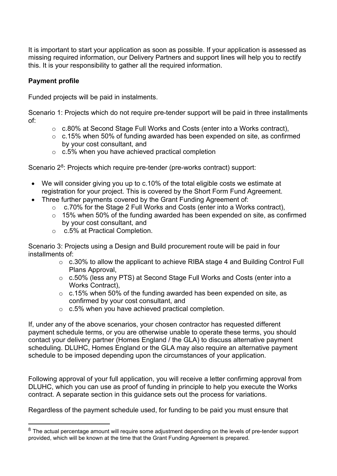It is important to start your application as soon as possible. If your application is assessed as missing required information, our Delivery Partners and support lines will help you to rectify this. It is your responsibility to gather all the required information.

## **Payment profile**

Funded projects will be paid in instalments.

Scenario 1: Projects which do not require pre-tender support will be paid in three installments of:

- o c.80% at Second Stage Full Works and Costs (enter into a Works contract),
- o c.15% when 50% of funding awarded has been expended on site, as confirmed by your cost consultant, and
- o c.5% when you have achieved practical completion

Scenario 2<sup>[8](#page-12-0)</sup>: Projects which require pre-tender (pre-works contract) support:

- We will consider giving you up to c.10% of the total eligible costs we estimate at registration for your project. This is covered by the Short Form Fund Agreement.
- Three further payments covered by the Grant Funding Agreement of:
	- o c.70% for the Stage 2 Full Works and Costs (enter into a Works contract),
	- o 15% when 50% of the funding awarded has been expended on site, as confirmed by your cost consultant, and
	- o c.5% at Practical Completion.

Scenario 3: Projects using a Design and Build procurement route will be paid in four installments of:

- o c.30% to allow the applicant to achieve RIBA stage 4 and Building Control Full Plans Approval,
- o c.50% (less any PTS) at Second Stage Full Works and Costs (enter into a Works Contract),
- $\circ$  c.15% when 50% of the funding awarded has been expended on site, as confirmed by your cost consultant, and
- o c.5% when you have achieved practical completion.

If, under any of the above scenarios, your chosen contractor has requested different payment schedule terms, or you are otherwise unable to operate these terms, you should contact your delivery partner (Homes England / the GLA) to discuss alternative payment scheduling. DLUHC, Homes England or the GLA may also require an alternative payment schedule to be imposed depending upon the circumstances of your application.

Following approval of your full application, you will receive a letter confirming approval from DLUHC, which you can use as proof of funding in principle to help you execute the Works contract. A separate section in this guidance sets out the process for variations.

Regardless of the payment schedule used, for funding to be paid you must ensure that

<span id="page-12-0"></span> $8$  The actual percentage amount will require some adjustment depending on the levels of pre-tender support provided, which will be known at the time that the Grant Funding Agreement is prepared.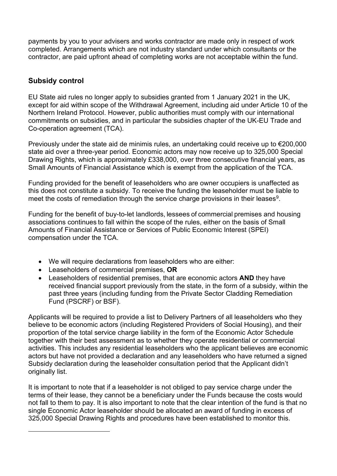payments by you to your advisers and works contractor are made only in respect of work completed. Arrangements which are not industry standard under which consultants or the contractor, are paid upfront ahead of completing works are not acceptable within the fund.

# <span id="page-13-0"></span>**Subsidy control**

EU State aid rules no longer apply to subsidies granted from 1 January 2021 in the UK, except for aid within scope of the Withdrawal Agreement, including aid under Article 10 of the Northern Ireland Protocol. However, public authorities must comply with our international commitments on subsidies, and in particular the subsidies chapter of the UK-EU Trade and Co-operation agreement (TCA).

Previously under the state aid de minimis rules, an undertaking could receive up to €200,000 state aid over a three-year period. Economic actors may now receive up to 325,000 Special Drawing Rights, which is approximately £338,000, over three consecutive financial years, as Small Amounts of Financial Assistance which is exempt from the application of the TCA.

Funding provided for the benefit of leaseholders who are owner occupiers is unaffected as this does not constitute a subsidy. To receive the funding the leaseholder must be liable to meet the costs of remediation through the service charge provisions in their leases<sup>9</sup>.

Funding for the benefit of buy-to-let landlords, lessees of commercial premises and housing associations continues to fall within the scope of the rules, either on the basis of Small Amounts of Financial Assistance or Services of Public Economic Interest (SPEI) compensation under the TCA.  

- We will require declarations from leaseholders who are either:
- Leaseholders of commercial premises, **OR**
- Leaseholders of residential premises, that are economic actors **AND** they have received financial support previously from the state, in the form of a subsidy, within the past three years (including funding from the Private Sector Cladding Remediation Fund (PSCRF) or BSF).

Applicants will be required to provide a list to Delivery Partners of all leaseholders who they believe to be economic actors (including Registered Providers of Social Housing), and their proportion of the total service charge liability in the form of the Economic Actor Schedule together with their best assessment as to whether they operate residential or commercial activities. This includes any residential leaseholders who the applicant believes are economic actors but have not provided a declaration and any leaseholders who have returned a signed Subsidy declaration during the leaseholder consultation period that the Applicant didn't originally list.

<span id="page-13-1"></span>It is important to note that if a leaseholder is not obliged to pay service charge under the terms of their lease, they cannot be a beneficiary under the Funds because the costs would not fall to them to pay. It is also important to note that the clear intention of the fund is that no single Economic Actor leaseholder should be allocated an award of funding in excess of 325,000 Special Drawing Rights and procedures have been established to monitor this.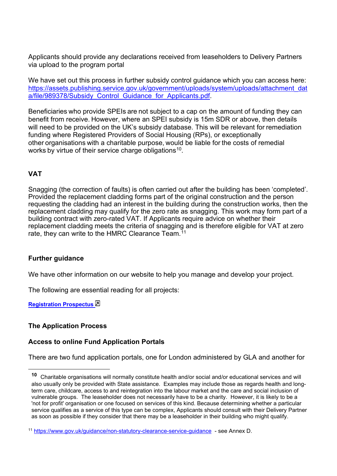Applicants should provide any declarations received from leaseholders to Delivery Partners via upload to the program portal

We have set out this process in further subsidy control quidance which you can access here: [https://assets.publishing.service.gov.uk/government/uploads/system/uploads/attachment\\_dat](https://assets.publishing.service.gov.uk/government/uploads/system/uploads/attachment_data/file/989378/Subsidy_Control_Guidance_for_Applicants.pdf) [a/file/989378/Subsidy\\_Control\\_Guidance\\_for\\_Applicants.pdf.](https://assets.publishing.service.gov.uk/government/uploads/system/uploads/attachment_data/file/989378/Subsidy_Control_Guidance_for_Applicants.pdf)

Beneficiaries who provide SPEIs are not subject to a cap on the amount of funding they can benefit from receive. However, where an SPEI subsidy is 15m SDR or above, then details will need to be provided on the UK's subsidy database. This will be relevant for remediation funding where Registered Providers of Social Housing (RPs), or exceptionally other organisations with a charitable purpose, would be liable for the costs of remedial works by virtue of their service charge obligations<sup>[10](#page-14-1)</sup>.

## **VAT**

Snagging (the correction of faults) is often carried out after the building has been 'completed'. Provided the replacement cladding forms part of the original construction and the person requesting the cladding had an interest in the building during the construction works, then the replacement cladding may qualify for the zero rate as snagging. This work may form part of a building contract with zero-rated VAT. If Applicants require advice on whether their replacement cladding meets the criteria of snagging and is therefore eligible for VAT at zero rate, they can write to the HMRC Clearance Team. [11](#page-14-2)

### **Further guidance**

We have other information on our website to help you manage and develop your project.

The following are essential reading for all projects:

**[Registration Prospectus](https://assets.publishing.service.gov.uk/government/uploads/system/uploads/attachment_data/file/887452/BSF_Non-ACM_Cladding_Prospectus.pdf)** 

#### <span id="page-14-0"></span>**The Application Process**

#### **Access to online Fund Application Portals**

There are two fund application portals, one for London administered by GLA and another for

<span id="page-14-1"></span>**<sup>10</sup>** Charitable organisations will normally constitute health and/or social and/or educational services and will also usually only be provided with State assistance. Examples may include those as regards health and longterm care, childcare, access to and reintegration into the labour market and the care and social inclusion of vulnerable groups. The leaseholder does not necessarily have to be a charity. However, it is likely to be a 'not for profit' organisation or one focused on services of this kind. Because determining whether a particular service qualifies as a service of this type can be complex, Applicants should consult with their Delivery Partner as soon as possible if they consider that there may be a leaseholder in their building who might qualify.

<span id="page-14-2"></span><sup>11</sup> [https://www.gov.uk/guidance/non-statutory-clearance-service-guidance](https://gbr01.safelinks.protection.outlook.com/?url=https%3A%2F%2Fwww.gov.uk%2Fguidance%2Fnon-statutory-clearance-service-guidance&data=02%7C01%7CDouglas.Taylor%40communities.gov.uk%7C4e24f05a733a4f223bbc08d6f95d7409%7Cbf3468109c7d43dea87224a2ef3995a8%7C0%7C0%7C636970577129408387&sdata=qK6cIf599%2BFHoOjDIo6voDSb4eWabh0WgrJBiVNoDys%3D&reserved=0) - see Annex D.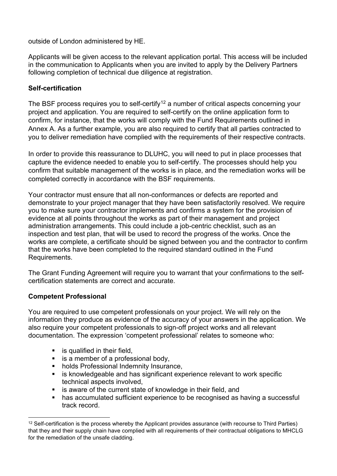outside of London administered by HE.

Applicants will be given access to the relevant application portal. This access will be included in the communication to Applicants when you are invited to apply by the Delivery Partners following completion of technical due diligence at registration.

## <span id="page-15-0"></span>**Self-certification**

The BSF process requires you to self-certify $^{12}$  $^{12}$  $^{12}$  a number of critical aspects concerning your project and application. You are required to self-certify on the online application form to confirm, for instance, that the works will comply with the Fund Requirements outlined in Annex A. As a further example, you are also required to certify that all parties contracted to you to deliver remediation have complied with the requirements of their respective contracts.

In order to provide this reassurance to DLUHC, you will need to put in place processes that capture the evidence needed to enable you to self-certify. The processes should help you confirm that suitable management of the works is in place, and the remediation works will be completed correctly in accordance with the BSF requirements.

Your contractor must ensure that all non-conformances or defects are reported and demonstrate to your project manager that they have been satisfactorily resolved. We require you to make sure your contractor implements and confirms a system for the provision of evidence at all points throughout the works as part of their management and project administration arrangements. This could include a job-centric checklist, such as an inspection and test plan, that will be used to record the progress of the works. Once the works are complete, a certificate should be signed between you and the contractor to confirm that the works have been completed to the required standard outlined in the Fund Requirements.

The Grant Funding Agreement will require you to warrant that your confirmations to the selfcertification statements are correct and accurate.

### <span id="page-15-1"></span>**Competent Professional**

You are required to use competent professionals on your project. We will rely on the information they produce as evidence of the accuracy of your answers in the application. We also require your competent professionals to sign-off project works and all relevant documentation. The expression 'competent professional' relates to someone who:

- $\blacksquare$  is qualified in their field.
- $\blacksquare$  is a member of a professional body,
- **holds Professional Indemnity Insurance,**
- **EXEDERIFY is knowledgeable and has significant experience relevant to work specific** technical aspects involved,
- **EXTERUTE:** is aware of the current state of knowledge in their field, and
- **has accumulated sufficient experience to be recognised as having a successful** track record.

<span id="page-15-2"></span><sup>&</sup>lt;sup>12</sup> Self-certification is the process whereby the Applicant provides assurance (with recourse to Third Parties) that they and their supply chain have complied with all requirements of their contractual obligations to MHCLG for the remediation of the unsafe cladding.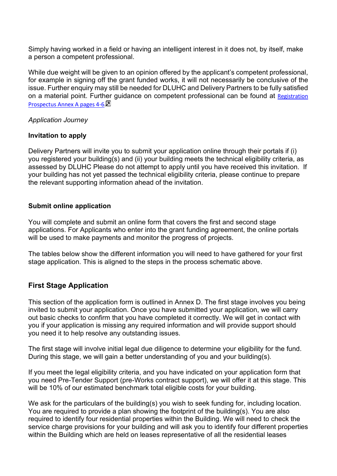Simply having worked in a field or having an intelligent interest in it does not, by itself, make a person a competent professional.

While due weight will be given to an opinion offered by the applicant's competent professional, for example in signing off the grant funded works, it will not necessarily be conclusive of the issue. Further enquiry may still be needed for DLUHC and Delivery Partners to be fully satisfied on a material point. Further guidance on competent professional can be found at Registration Prospectus Annex A pages 4-6

#### *Application Journey*

#### **Invitation to apply**

Delivery Partners will invite you to submit your application online through their portals if (i) you registered your building(s) and (ii) your building meets the technical eligibility criteria, as assessed by DLUHC Please do not attempt to apply until you have received this invitation. If your building has not yet passed the technical eligibility criteria, please continue to prepare the relevant supporting information ahead of the invitation.

#### **Submit online application**

You will complete and submit an online form that covers the first and second stage applications. For Applicants who enter into the grant funding agreement, the online portals will be used to make payments and monitor the progress of projects.

The tables below show the different information you will need to have gathered for your first stage application. This is aligned to the steps in the process schematic above.

### <span id="page-16-0"></span>**First Stage Application**

This section of the application form is outlined in Annex D. The first stage involves you being invited to submit your application. Once you have submitted your application, we will carry out basic checks to confirm that you have completed it correctly. We will get in contact with you if your application is missing any required information and will provide support should you need it to help resolve any outstanding issues.

The first stage will involve initial legal due diligence to determine your eligibility for the fund. During this stage, we will gain a better understanding of you and your building(s).

If you meet the legal eligibility criteria, and you have indicated on your application form that you need Pre-Tender Support (pre-Works contract support), we will offer it at this stage. This will be 10% of our estimated benchmark total eligible costs for your building.

We ask for the particulars of the building(s) you wish to seek funding for, including location. You are required to provide a plan showing the footprint of the building(s). You are also required to identify four residential properties within the Building. We will need to check the service charge provisions for your building and will ask you to identify four different properties within the Building which are held on leases representative of all the residential leases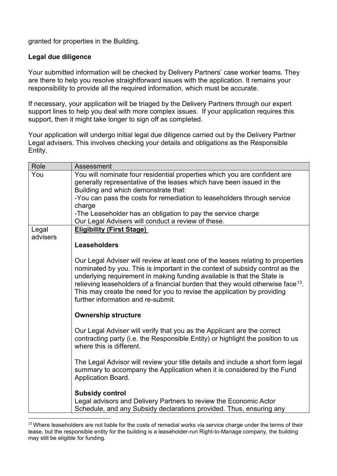granted for properties in the Building.

## **Legal due diligence**

Your submitted information will be checked by Delivery Partners' case worker teams. They are there to help you resolve straightforward issues with the application. It remains your responsibility to provide all the required information, which must be accurate.

If necessary, your application will be triaged by the Delivery Partners through our expert support lines to help you deal with more complex issues. If your application requires this support, then it might take longer to sign off as completed.

Your application will undergo initial legal due diligence carried out by the Delivery Partner Legal advisers. This involves checking your details and obligations as the Responsible Entity.

| Role              | Assessment                                                                                                                                                                                                                                                                                                                                                                                                                                        |
|-------------------|---------------------------------------------------------------------------------------------------------------------------------------------------------------------------------------------------------------------------------------------------------------------------------------------------------------------------------------------------------------------------------------------------------------------------------------------------|
| You               | You will nominate four residential properties which you are confident are<br>generally representative of the leases which have been issued in the<br>Building and which demonstrate that:<br>-You can pass the costs for remediation to leaseholders through service                                                                                                                                                                              |
|                   | charge                                                                                                                                                                                                                                                                                                                                                                                                                                            |
|                   | -The Leaseholder has an obligation to pay the service charge                                                                                                                                                                                                                                                                                                                                                                                      |
|                   | Our Legal Advisers will conduct a review of these.                                                                                                                                                                                                                                                                                                                                                                                                |
| Legal<br>advisers | <b>Eligibility (First Stage)</b>                                                                                                                                                                                                                                                                                                                                                                                                                  |
|                   | <b>Leaseholders</b>                                                                                                                                                                                                                                                                                                                                                                                                                               |
|                   | Our Legal Adviser will review at least one of the leases relating to properties<br>nominated by you. This is important in the context of subsidy control as the<br>underlying requirement in making funding available is that the State is<br>relieving leaseholders of a financial burden that they would otherwise face $13$ .<br>This may create the need for you to revise the application by providing<br>further information and re-submit. |
|                   | <b>Ownership structure</b>                                                                                                                                                                                                                                                                                                                                                                                                                        |
|                   | Our Legal Adviser will verify that you as the Applicant are the correct<br>contracting party (i.e. the Responsible Entity) or highlight the position to us<br>where this is different.                                                                                                                                                                                                                                                            |
|                   | The Legal Advisor will review your title details and include a short form legal<br>summary to accompany the Application when it is considered by the Fund<br>Application Board.                                                                                                                                                                                                                                                                   |
|                   | <b>Subsidy control</b><br>Legal advisors and Delivery Partners to review the Economic Actor<br>Schedule, and any Subsidy declarations provided. Thus, ensuring any                                                                                                                                                                                                                                                                                |

<span id="page-17-0"></span><sup>&</sup>lt;sup>13</sup> Where leaseholders are not liable for the costs of remedial works via service charge under the terms of their lease, but the responsible entity for the building is a leaseholder-run Right-to-Manage company, the building may still be eligible for funding.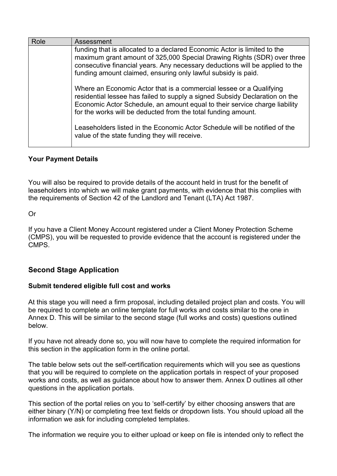| Role | Assessment                                                                                                                                                                                                                                                                                           |
|------|------------------------------------------------------------------------------------------------------------------------------------------------------------------------------------------------------------------------------------------------------------------------------------------------------|
|      | funding that is allocated to a declared Economic Actor is limited to the<br>maximum grant amount of 325,000 Special Drawing Rights (SDR) over three<br>consecutive financial years. Any necessary deductions will be applied to the<br>funding amount claimed, ensuring only lawful subsidy is paid. |
|      | Where an Economic Actor that is a commercial lessee or a Qualifying<br>residential lessee has failed to supply a signed Subsidy Declaration on the<br>Economic Actor Schedule, an amount equal to their service charge liability<br>for the works will be deducted from the total funding amount.    |
|      | Leaseholders listed in the Economic Actor Schedule will be notified of the<br>value of the state funding they will receive.                                                                                                                                                                          |

### **Your Payment Details**

You will also be required to provide details of the account held in trust for the benefit of leaseholders into which we will make grant payments, with evidence that this complies with the requirements of Section 42 of the Landlord and Tenant (LTA) Act 1987.

Or

If you have a Client Money Account registered under a Client Money Protection Scheme (CMPS), you will be requested to provide evidence that the account is registered under the CMPS.

### <span id="page-18-0"></span>**Second Stage Application**

#### <span id="page-18-1"></span>**Submit tendered eligible full cost and works**

At this stage you will need a firm proposal, including detailed project plan and costs. You will be required to complete an online template for full works and costs similar to the one in Annex D. This will be similar to the second stage (full works and costs) questions outlined below.

If you have not already done so, you will now have to complete the required information for this section in the application form in the online portal.

The table below sets out the self-certification requirements which will you see as questions that you will be required to complete on the application portals in respect of your proposed works and costs, as well as guidance about how to answer them. Annex D outlines all other questions in the application portals.

This section of the portal relies on you to 'self-certify' by either choosing answers that are either binary (Y/N) or completing free text fields or dropdown lists. You should upload all the information we ask for including completed templates.

The information we require you to either upload or keep on file is intended only to reflect the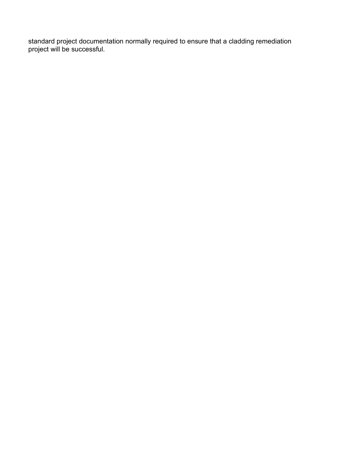standard project documentation normally required to ensure that a cladding remediation project will be successful.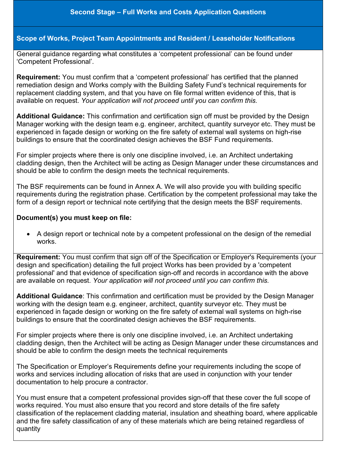## **Scope of Works, Project Team Appointments and Resident / Leaseholder Notifications**

General guidance regarding what constitutes a 'competent professional' can be found under 'Competent Professional'.

**Requirement:** You must confirm that a 'competent professional' has certified that the planned remediation design and Works comply with the Building Safety Fund's technical requirements for replacement cladding system, and that you have on file formal written evidence of this, that is available on request. *Your application will not proceed until you can confirm this.*

**Additional Guidance:** This confirmation and certification sign off must be provided by the Design Manager working with the design team e.g. engineer, architect, quantity surveyor etc. They must be experienced in façade design or working on the fire safety of external wall systems on high-rise buildings to ensure that the coordinated design achieves the BSF Fund requirements.

For simpler projects where there is only one discipline involved, i.e. an Architect undertaking cladding design, then the Architect will be acting as Design Manager under these circumstances and should be able to confirm the design meets the technical requirements.

The BSF requirements can be found in Annex A. We will also provide you with building specific requirements during the registration phase. Certification by the competent professional may take the form of a design report or technical note certifying that the design meets the BSF requirements.

#### **Document(s) you must keep on file:**

• A design report or technical note by a competent professional on the design of the remedial works.

**Requirement:** You must confirm that sign off of the Specification or Employer's Requirements (your design and specification) detailing the full project Works has been provided by a 'competent professional' and that evidence of specification sign-off and records in accordance with the above are available on request. *Your application will not proceed until you can confirm this.* 

**Additional Guidance**: This confirmation and certification must be provided by the Design Manager working with the design team e.g. engineer, architect, quantity surveyor etc. They must be experienced in façade design or working on the fire safety of external wall systems on high-rise buildings to ensure that the coordinated design achieves the BSF requirements.

For simpler projects where there is only one discipline involved, i.e. an Architect undertaking cladding design, then the Architect will be acting as Design Manager under these circumstances and should be able to confirm the design meets the technical requirements

The Specification or Employer's Requirements define your requirements including the scope of works and services including allocation of risks that are used in conjunction with your tender documentation to help procure a contractor.

You must ensure that a competent professional provides sign-off that these cover the full scope of works required. You must also ensure that you record and store details of the fire safety classification of the replacement cladding material, insulation and sheathing board, where applicable and the fire safety classification of any of these materials which are being retained regardless of quantity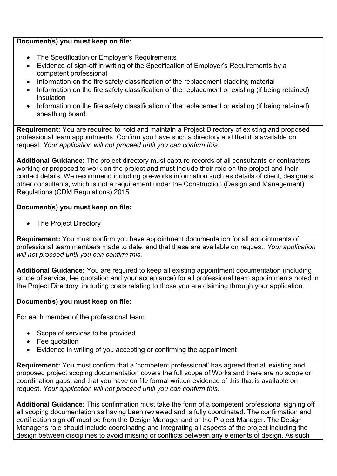#### **Document(s) you must keep on file:**

- The Specification or Employer's Requirements
- Evidence of sign-off in writing of the Specification of Employer's Requirements by a competent professional
- Information on the fire safety classification of the replacement cladding material
- Information on the fire safety classification of the replacement or existing (if being retained) insulation
- Information on the fire safety classification of the replacement or existing (if being retained) sheathing board.

**Requirement:** You are required to hold and maintain a Project Directory of existing and proposed professional team appointments. Confirm you have such a directory and that it is available on request. *Your application will not proceed until you can confirm this.*

**Additional Guidance:** The project directory must capture records of all consultants or contractors working or proposed to work on the project and must include their role on the project and their contact details. We recommend including pre-works information such as details of client, designers, other consultants, which is not a requirement under the Construction (Design and Management) Regulations (CDM Regulations) 2015.

### **Document(s) you must keep on file:**

• The Project Directory

**Requirement:** You must confirm you have appointment documentation for all appointments of professional team members made to date, and that these are available on request. *Your application will not proceed until you can confirm this.* 

**Additional Guidance:** You are required to keep all existing appointment documentation (including scope of service, fee quotation and your acceptance) for all professional team appointments noted in the Project Directory, including costs relating to those you are claiming through your application.

### **Document(s) you must keep on file:**

For each member of the professional team:

- Scope of services to be provided
- Fee quotation
- Evidence in writing of you accepting or confirming the appointment

**Requirement:** You must confirm that a 'competent professional' has agreed that all existing and proposed project scoping documentation covers the full scope of Works and there are no scope or coordination gaps, and that you have on file formal written evidence of this that is available on request. *Your application will not proceed until you can confirm this.*

**Additional Guidance:** This confirmation must take the form of a competent professional signing off all scoping documentation as having been reviewed and is fully coordinated. The confirmation and certification sign off must be from the Design Manager and or the Project Manager. The Design Manager's role should include coordinating and integrating all aspects of the project including the design between disciplines to avoid missing or conflicts between any elements of design. As such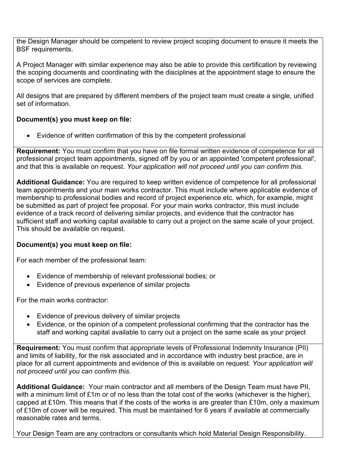the Design Manager should be competent to review project scoping document to ensure it meets the BSF requirements.

A Project Manager with similar experience may also be able to provide this certification by reviewing the scoping documents and coordinating with the disciplines at the appointment stage to ensure the scope of services are complete.

All designs that are prepared by different members of the project team must create a single, unified set of information.

## **Document(s) you must keep on file:**

• Evidence of written confirmation of this by the competent professional

**Requirement:** You must confirm that you have on file formal written evidence of competence for all professional project team appointments, signed off by you or an appointed 'competent professional', and that this is available on request. *Your application will not proceed until you can confirm this.*

**Additional Guidance:** You are required to keep written evidence of competence for all professional team appointments and your main works contractor. This must include where applicable evidence of membership to professional bodies and record of project experience etc. which, for example, might be submitted as part of project fee proposal. For your main works contractor, this must include evidence of a track record of delivering similar projects, and evidence that the contractor has sufficient staff and working capital available to carry out a project on the same scale of your project. This should be available on request.

# **Document(s) you must keep on file:**

For each member of the professional team:

- Evidence of membership of relevant professional bodies; or
- Evidence of previous experience of similar projects

For the main works contractor:

- Evidence of previous delivery of similar projects
- Evidence, or the opinion of a competent professional confirming that the contractor has the staff and working capital available to carry out a project on the same scale as your project

**Requirement:** You must confirm that appropriate levels of Professional Indemnity Insurance (PII) and limits of liability, for the risk associated and in accordance with industry best practice, are in place for all current appointments and evidence of this is available on request. *Your application will not proceed until you can confirm this.*

**Additional Guidance:** Your main contractor and all members of the Design Team must have PII, with a minimum limit of £1m or of no less than the total cost of the works (whichever is the higher), capped at £10m. This means that if the costs of the works is are greater than £10m, only a maximum of £10m of cover will be required. This must be maintained for 6 years if available at commercially reasonable rates and terms.

Your Design Team are any contractors or consultants which hold Material Design Responsibility.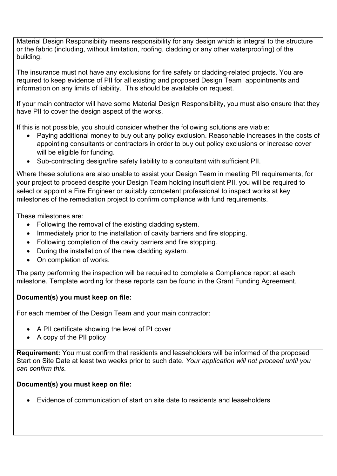Material Design Responsibility means responsibility for any design which is integral to the structure or the fabric (including, without limitation, roofing, cladding or any other waterproofing) of the building.

The insurance must not have any exclusions for fire safety or cladding-related projects. You are required to keep evidence of PII for all existing and proposed Design Team appointments and information on any limits of liability. This should be available on request.

If your main contractor will have some Material Design Responsibility, you must also ensure that they have PII to cover the design aspect of the works.

If this is not possible, you should consider whether the following solutions are viable:

- Paying additional money to buy out any policy exclusion. Reasonable increases in the costs of appointing consultants or contractors in order to buy out policy exclusions or increase cover will be eligible for funding.
- Sub-contracting design/fire safety liability to a consultant with sufficient PII.

Where these solutions are also unable to assist your Design Team in meeting PII requirements, for your project to proceed despite your Design Team holding insufficient PII, you will be required to select or appoint a Fire Engineer or suitably competent professional to inspect works at key milestones of the remediation project to confirm compliance with fund requirements.

These milestones are:

- Following the removal of the existing cladding system.
- Immediately prior to the installation of cavity barriers and fire stopping.
- Following completion of the cavity barriers and fire stopping.
- During the installation of the new cladding system.
- On completion of works.

The party performing the inspection will be required to complete a Compliance report at each milestone. Template wording for these reports can be found in the Grant Funding Agreement.

### **Document(s) you must keep on file:**

For each member of the Design Team and your main contractor:

- A PII certificate showing the level of PI cover
- A copy of the PII policy

**Requirement:** You must confirm that residents and leaseholders will be informed of the proposed Start on Site Date at least two weeks prior to such date. *Your application will not proceed until you can confirm this.*

### **Document(s) you must keep on file:**

• Evidence of communication of start on site date to residents and leaseholders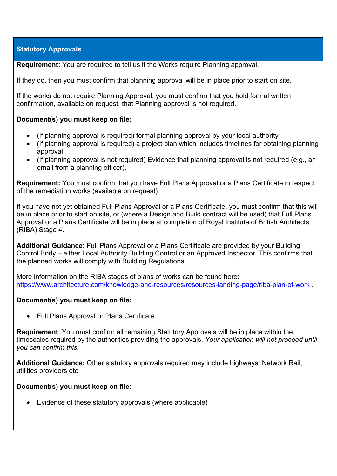## **Statutory Approvals**

**Requirement:** You are required to tell us if the Works require Planning approval.

If they do, then you must confirm that planning approval will be in place prior to start on site.

If the works do not require Planning Approval, you must confirm that you hold formal written confirmation, available on request, that Planning approval is not required.

#### **Document(s) you must keep on file:**

- (If planning approval is required) formal planning approval by your local authority
- (If planning approval is required) a project plan which includes timelines for obtaining planning approval
- (If planning approval is not required) Evidence that planning approval is not required (e.g., an email from a planning officer).

**Requirement:** You must confirm that you have Full Plans Approval or a Plans Certificate in respect of the remediation works (available on request).

If you have not yet obtained Full Plans Approval or a Plans Certificate, you must confirm that this will be in place prior to start on site, or (where a Design and Build contract will be used) that Full Plans Approval or a Plans Certificate will be in place at completion of Royal Institute of British Architects (RIBA) Stage 4.

**Additional Guidance:** Full Plans Approval or a Plans Certificate are provided by your Building Control Body – either Local Authority Building Control or an Approved Inspector. This confirms that the planned works will comply with Building Regulations.

More information on the RIBA stages of plans of works can be found here: <https://www.architecture.com/knowledge-and-resources/resources-landing-page/riba-plan-of-work>.

#### **Document(s) you must keep on file:**

• Full Plans Approval or Plans Certificate

**Requirement**: You must confirm all remaining Statutory Approvals will be in place within the timescales required by the authorities providing the approvals. *Your application will not proceed until you can confirm this.*

**Additional Guidance:** Other statutory approvals required may include highways, Network Rail, utilities providers etc.

#### **Document(s) you must keep on file:**

• Evidence of these statutory approvals (where applicable)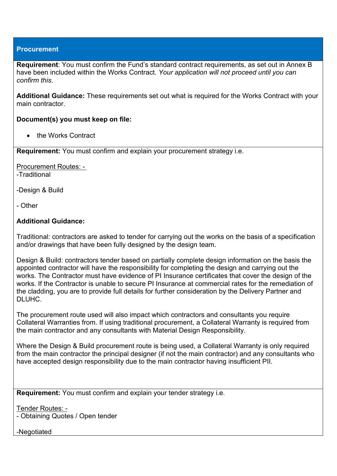#### **Procurement**

**Requirement**: You must confirm the Fund's standard contract requirements, as set out in Annex B have been included within the Works Contract. *Your application will not proceed until you can confirm this.*

**Additional Guidance:** These requirements set out what is required for the Works Contract with your main contractor.

#### **Document(s) you must keep on file:**

• the Works Contract

**Requirement:** You must confirm and explain your procurement strategy i.e.

Procurement Routes: - -Traditional

-Design & Build

- Other

#### **Additional Guidance:**

Traditional: contractors are asked to tender for carrying out the works on the basis of a specification and/or drawings that have been fully designed by the design team.

Design & Build: contractors tender based on partially complete design information on the basis the appointed contractor will have the responsibility for completing the design and carrying out the works. The Contractor must have evidence of PI Insurance certificates that cover the design of the works. If the Contractor is unable to secure PI Insurance at commercial rates for the remediation of the cladding, you are to provide full details for further consideration by the Delivery Partner and DLUHC.

The procurement route used will also impact which contractors and consultants you require Collateral Warranties from. If using traditional procurement, a Collateral Warranty is required from the main contractor and any consultants with Material Design Responsibility.

Where the Design & Build procurement route is being used, a Collateral Warranty is only required from the main contractor the principal designer (if not the main contractor) and any consultants who have accepted design responsibility due to the main contractor having insufficient PII.

**Requirement:** You must confirm and explain your tender strategy i.e.

Tender Routes: -

- Obtaining Quotes / Open tender

-Negotiated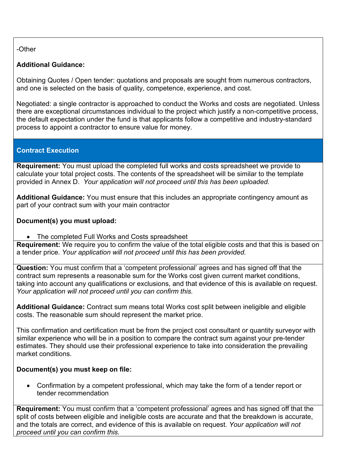## -Other

# **Additional Guidance:**

Obtaining Quotes / Open tender: quotations and proposals are sought from numerous contractors, and one is selected on the basis of quality, competence, experience, and cost.

Negotiated: a single contractor is approached to conduct the Works and costs are negotiated. Unless there are exceptional circumstances individual to the project which justify a non-competitive process, the default expectation under the fund is that applicants follow a competitive and industry-standard process to appoint a contractor to ensure value for money.

# **Contract Execution**

**Requirement:** You must upload the completed full works and costs spreadsheet we provide to calculate your total project costs. The contents of the spreadsheet will be similar to the template provided in Annex D. *Your application will not proceed until this has been uploaded.*

**Additional Guidance:** You must ensure that this includes an appropriate contingency amount as part of your contract sum with your main contractor

### **Document(s) you must upload:**

• The completed Full Works and Costs spreadsheet

**Requirement:** We require you to confirm the value of the total eligible costs and that this is based on a tender price. *Your application will not proceed until this has been provided.*

**Question:** You must confirm that a 'competent professional' agrees and has signed off that the contract sum represents a reasonable sum for the Works cost given current market conditions, taking into account any qualifications or exclusions, and that evidence of this is available on request. *Your application will not proceed until you can confirm this.*

**Additional Guidance:** Contract sum means total Works cost split between ineligible and eligible costs. The reasonable sum should represent the market price.

This confirmation and certification must be from the project cost consultant or quantity surveyor with similar experience who will be in a position to compare the contract sum against your pre-tender estimates. They should use their professional experience to take into consideration the prevailing market conditions.

# **Document(s) you must keep on file:**

• Confirmation by a competent professional, which may take the form of a tender report or tender recommendation

**Requirement:** You must confirm that a 'competent professional' agrees and has signed off that the split of costs between eligible and ineligible costs are accurate and that the breakdown is accurate, and the totals are correct, and evidence of this is available on request. *Your application will not proceed until you can confirm this.*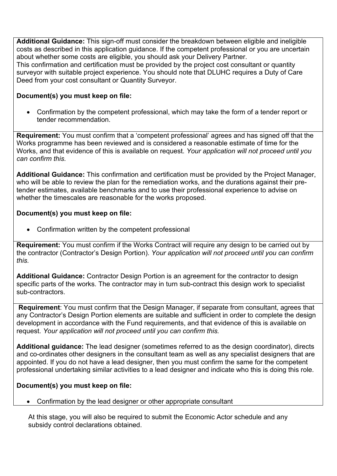**Additional Guidance:** This sign-off must consider the breakdown between eligible and ineligible costs as described in this application guidance. If the competent professional or you are uncertain about whether some costs are eligible, you should ask your Delivery Partner. This confirmation and certification must be provided by the project cost consultant or quantity surveyor with suitable project experience. You should note that DLUHC requires a Duty of Care Deed from your cost consultant or Quantity Surveyor.

### **Document(s) you must keep on file:**

• Confirmation by the competent professional, which may take the form of a tender report or tender recommendation.

**Requirement:** You must confirm that a 'competent professional' agrees and has signed off that the Works programme has been reviewed and is considered a reasonable estimate of time for the Works, and that evidence of this is available on request. *Your application will not proceed until you can confirm this.*

**Additional Guidance:** This confirmation and certification must be provided by the Project Manager, who will be able to review the plan for the remediation works, and the durations against their pretender estimates, available benchmarks and to use their professional experience to advise on whether the timescales are reasonable for the works proposed.

#### **Document(s) you must keep on file:**

• Confirmation written by the competent professional

**Requirement:** You must confirm if the Works Contract will require any design to be carried out by the contractor (Contractor's Design Portion). *Your application will not proceed until you can confirm this.*

**Additional Guidance:** Contractor Design Portion is an agreement for the contractor to design specific parts of the works. The contractor may in turn sub-contract this design work to specialist sub-contractors.

**Requirement**: You must confirm that the Design Manager, if separate from consultant, agrees that any Contractor's Design Portion elements are suitable and sufficient in order to complete the design development in accordance with the Fund requirements, and that evidence of this is available on request. *Your application will not proceed until you can confirm this.*

**Additional guidance:** The lead designer (sometimes referred to as the design coordinator), directs and co-ordinates other designers in the consultant team as well as any specialist designers that are appointed. If you do not have a lead designer, then you must confirm the same for the competent professional undertaking similar activities to a lead designer and indicate who this is doing this role.

### **Document(s) you must keep on file:**

• Confirmation by the lead designer or other appropriate consultant

At this stage, you will also be required to submit the Economic Actor schedule and any subsidy control declarations obtained.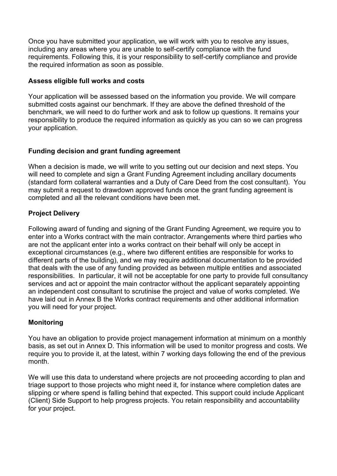Once you have submitted your application, we will work with you to resolve any issues, including any areas where you are unable to self-certify compliance with the fund requirements. Following this, it is your responsibility to self-certify compliance and provide the required information as soon as possible.

#### **Assess eligible full works and costs**

Your application will be assessed based on the information you provide. We will compare submitted costs against our benchmark. If they are above the defined threshold of the benchmark, we will need to do further work and ask to follow up questions. It remains your responsibility to produce the required information as quickly as you can so we can progress your application.

### **Funding decision and grant funding agreement**

When a decision is made, we will write to you setting out our decision and next steps. You will need to complete and sign a Grant Funding Agreement including ancillary documents (standard form collateral warranties and a Duty of Care Deed from the cost consultant). You may submit a request to drawdown approved funds once the grant funding agreement is completed and all the relevant conditions have been met.

## <span id="page-28-0"></span>**Project Delivery**

Following award of funding and signing of the Grant Funding Agreement, we require you to enter into a Works contract with the main contractor. Arrangements where third parties who are not the applicant enter into a works contract on their behalf will only be accept in exceptional circumstances (e.g., where two different entities are responsible for works to different parts of the building), and we may require additional documentation to be provided that deals with the use of any funding provided as between multiple entities and associated responsibilities. In particular, it will not be acceptable for one party to provide full consultancy services and act or appoint the main contractor without the applicant separately appointing an independent cost consultant to scrutinise the project and value of works completed. We have laid out in Annex B the Works contract requirements and other additional information you will need for your project.

### <span id="page-28-1"></span>**Monitoring**

You have an obligation to provide project management information at minimum on a monthly basis, as set out in Annex D. This information will be used to monitor progress and costs. We require you to provide it, at the latest, within 7 working days following the end of the previous month.

We will use this data to understand where projects are not proceeding according to plan and triage support to those projects who might need it, for instance where completion dates are slipping or where spend is falling behind that expected. This support could include Applicant (Client) Side Support to help progress projects. You retain responsibility and accountability for your project.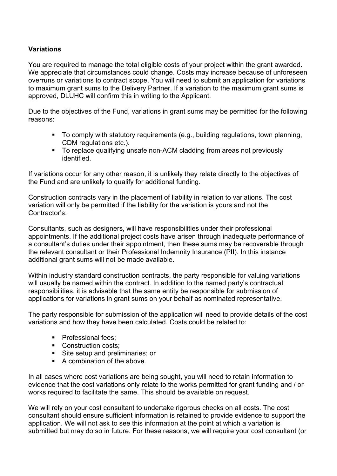## <span id="page-29-0"></span>**Variations**

You are required to manage the total eligible costs of your project within the grant awarded. We appreciate that circumstances could change. Costs may increase because of unforeseen overruns or variations to contract scope. You will need to submit an application for variations to maximum grant sums to the Delivery Partner. If a variation to the maximum grant sums is approved, DLUHC will confirm this in writing to the Applicant.

Due to the objectives of the Fund, variations in grant sums may be permitted for the following reasons:

- To comply with statutory requirements (e.g., building regulations, town planning, CDM regulations etc.).
- To replace qualifying unsafe non-ACM cladding from areas not previously identified.

If variations occur for any other reason, it is unlikely they relate directly to the objectives of the Fund and are unlikely to qualify for additional funding.

Construction contracts vary in the placement of liability in relation to variations. The cost variation will only be permitted if the liability for the variation is yours and not the Contractor's.

Consultants, such as designers, will have responsibilities under their professional appointments. If the additional project costs have arisen through inadequate performance of a consultant's duties under their appointment, then these sums may be recoverable through the relevant consultant or their Professional Indemnity Insurance (PII). In this instance additional grant sums will not be made available.

Within industry standard construction contracts, the party responsible for valuing variations will usually be named within the contract. In addition to the named party's contractual responsibilities, it is advisable that the same entity be responsible for submission of applications for variations in grant sums on your behalf as nominated representative.

The party responsible for submission of the application will need to provide details of the cost variations and how they have been calculated. Costs could be related to:

- **Professional fees:**
- Construction costs:
- Site setup and preliminaries; or
- A combination of the above.

In all cases where cost variations are being sought, you will need to retain information to evidence that the cost variations only relate to the works permitted for grant funding and / or works required to facilitate the same. This should be available on request.

We will rely on your cost consultant to undertake rigorous checks on all costs. The cost consultant should ensure sufficient information is retained to provide evidence to support the application. We will not ask to see this information at the point at which a variation is submitted but may do so in future. For these reasons, we will require your cost consultant (or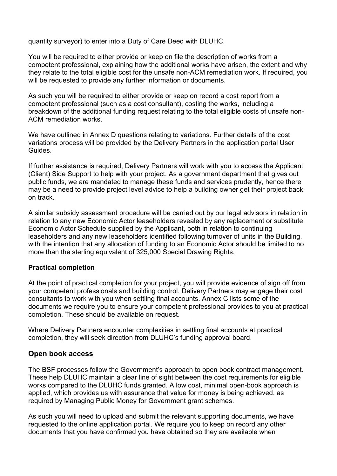quantity surveyor) to enter into a Duty of Care Deed with DLUHC.

You will be required to either provide or keep on file the description of works from a competent professional, explaining how the additional works have arisen, the extent and why they relate to the total eligible cost for the unsafe non-ACM remediation work. If required, you will be requested to provide any further information or documents.

As such you will be required to either provide or keep on record a cost report from a competent professional (such as a cost consultant), costing the works, including a breakdown of the additional funding request relating to the total eligible costs of unsafe non-ACM remediation works.

We have outlined in Annex D questions relating to variations. Further details of the cost variations process will be provided by the Delivery Partners in the application portal User Guides.

If further assistance is required, Delivery Partners will work with you to access the Applicant (Client) Side Support to help with your project. As a government department that gives out public funds, we are mandated to manage these funds and services prudently, hence there may be a need to provide project level advice to help a building owner get their project back on track.

A similar subsidy assessment procedure will be carried out by our legal advisors in relation in relation to any new Economic Actor leaseholders revealed by any replacement or substitute Economic Actor Schedule supplied by the Applicant, both in relation to continuing leaseholders and any new leaseholders identified following turnover of units in the Building, with the intention that any allocation of funding to an Economic Actor should be limited to no more than the sterling equivalent of 325,000 Special Drawing Rights.

### <span id="page-30-0"></span>**Practical completion**

At the point of practical completion for your project, you will provide evidence of sign off from your competent professionals and building control. Delivery Partners may engage their cost consultants to work with you when settling final accounts. Annex C lists some of the documents we require you to ensure your competent professional provides to you at practical completion. These should be available on request.

Where Delivery Partners encounter complexities in settling final accounts at practical completion, they will seek direction from DLUHC's funding approval board.

### <span id="page-30-1"></span>**Open book access**

The BSF processes follow the Government's approach to open book contract management. These help DLUHC maintain a clear line of sight between the cost requirements for eligible works compared to the DLUHC funds granted. A low cost, minimal open-book approach is applied, which provides us with assurance that value for money is being achieved, as required by Managing Public Money for Government grant schemes.

As such you will need to upload and submit the relevant supporting documents, we have requested to the online application portal. We require you to keep on record any other documents that you have confirmed you have obtained so they are available when